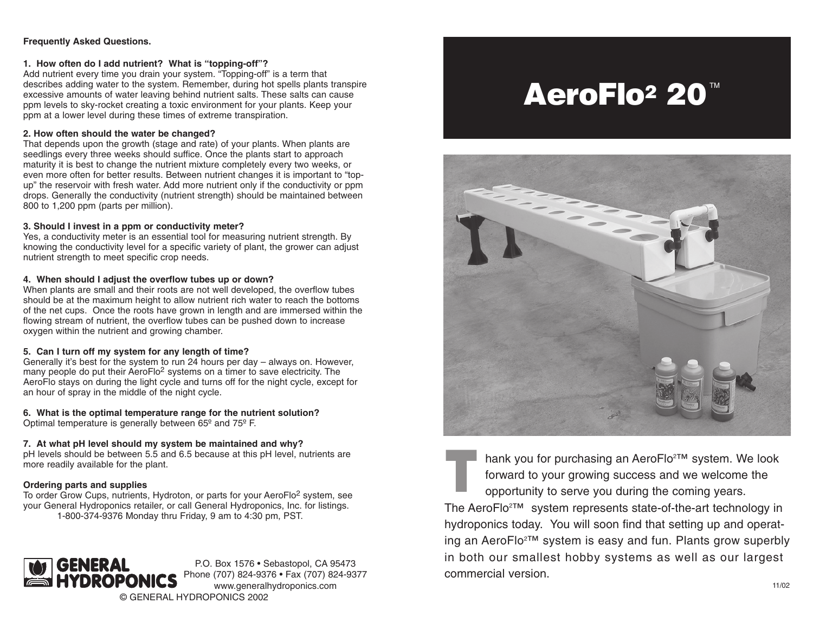#### **Frequently Asked Questions.**

#### **1. How often do I add nutrient? What is "topping-off"?**

Add nutrient every time you drain your system. "Topping-off" is a term that describes adding water to the system. Remember, during hot spells plants transpire excessive amounts of water leaving behind nutrient salts. These salts can cause ppm levels to sky-rocket creating a toxic environment for your plants. Keep your ppm at a lower level during these times of extreme transpiration.

#### **2. How often should the water be changed?**

That depends upon the growth (stage and rate) of your plants. When plants are seedlings every three weeks should suffice. Once the plants start to approach maturity it is best to change the nutrient mixture completely every two weeks, or even more often for better results. Between nutrient changes it is important to "topup" the reservoir with fresh water. Add more nutrient only if the conductivity or ppm drops. Generally the conductivity (nutrient strength) should be maintained between 800 to 1,200 ppm (parts per million).

#### **3. Should I invest in a ppm or conductivity meter?**

Yes, a conductivity meter is an essential tool for measuring nutrient strength. By knowing the conductivity level for a specific variety of plant, the grower can adjust nutrient strength to meet specific crop needs.

#### **4. When should I adjust the overflow tubes up or down?**

When plants are small and their roots are not well developed, the overflow tubes should be at the maximum height to allow nutrient rich water to reach the bottoms of the net cups. Once the roots have grown in length and are immersed within the flowing stream of nutrient, the overflow tubes can be pushed down to increase oxygen within the nutrient and growing chamber.

#### **5. Can I turn off my system for any length of time?**

Generally it's best for the system to run 24 hours per day – always on. However, many people do put their AeroFlo<sup>2</sup> systems on a timer to save electricity. The AeroFlo stays on during the light cycle and turns off for the night cycle, except for an hour of spray in the middle of the night cycle.

**6. What is the optimal temperature range for the nutrient solution?** Optimal temperature is generally between 65º and 75º F.

#### **7. At what pH level should my system be maintained and why?**

pH levels should be between 5.5 and 6.5 because at this pH level, nutrients are more readily available for the plant.

#### **Ordering parts and supplies**

To order Grow Cups, nutrients, Hydroton, or parts for your AeroFlo2 system, see your General Hydroponics retailer, or call General Hydroponics, Inc. for listings. 1-800-374-9376 Monday thru Friday, 9 am to 4:30 pm, PST.



# AeroFlo<sup>2</sup> 20<sup>™</sup>



hank you for purchasing an AeroFlo<sup>2™</sup> system. We look forward to your growing success and we welcome the opportunity to serve you during the coming years. T

The AeroFlo<sup>2™</sup> system represents state-of-the-art technology in hydroponics today. You will soon find that setting up and operating an AeroFlo<sup>2™</sup> system is easy and fun. Plants grow superbly in both our smallest hobby systems as well as our largest commercial version.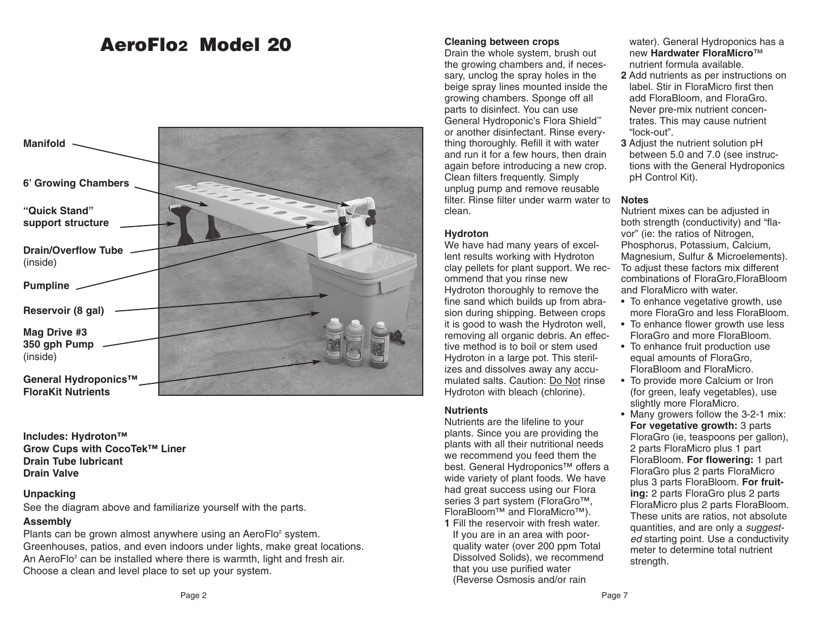## AeroFlo2 Model 20 **Cleaning between crops**



**Includes: Hydroton™ Grow Cups with CocoTek™ Liner Drain Tube lubricant Drain Valve**

#### **Unpacking**

See the diagram above and familiarize yourself with the parts.

### **Assembly**

Plants can be grown almost anywhere using an AeroFlo<sup>2</sup> system. Greenhouses, patios, and even indoors under lights, make great locations. An AeroFlo<sup>2</sup> can be installed where there is warmth, light and fresh air. Choose a clean and level place to set up your system.

Drain the whole system, brush out the growing chambers and, if necessary, unclog the spray holes in the beige spray lines mounted inside the growing chambers. Sponge off all parts to disinfect. You can use General Hydroponic's Flora Shield™ or another disinfectant. Rinse everything thoroughly. Refill it with water and run it for a few hours, then drain again before introducing a new crop. Clean filters frequently. Simply unplug pump and remove reusable filter. Rinse filter under warm water to clean.

#### **Hydroton**

We have had many years of excellent results working with Hydroton clay pellets for plant support. We recommend that you rinse new Hydroton thoroughly to remove the fine sand which builds up from abrasion during shipping. Between crops it is good to wash the Hydroton well, removing all organic debris. An effective method is to boil or stem used Hydroton in a large pot. This sterilizes and dissolves away any accumulated salts. Caution: Do Not rinse Hydroton with bleach (chlorine).

#### **Nutrients**

Nutrients are the lifeline to your plants. Since you are providing the plants with all their nutritional needs we recommend you feed them the best. General Hydroponics™ offers a wide variety of plant foods. We have had great success using our Flora series 3 part system (FloraGro<sup>™</sup>, FloraBloom™ and FloraMicro™).

**1** Fill the reservoir with fresh water. If you are in an area with poorquality water (over 200 ppm Total Dissolved Solids), we recommend that you use purified water (Reverse Osmosis and/or rain

water). General Hydroponics has a new **Hardwater FloraMicro**™ nutrient formula available.

- **2** Add nutrients as per instructions on label. Stir in FloraMicro first then add FloraBloom, and FloraGro. Never pre-mix nutrient concentrates. This may cause nutrient "lock-out".
- **3** Adjust the nutrient solution pH between 5.0 and 7.0 (see instructions with the General Hydroponics pH Control Kit).

#### **Notes**

Nutrient mixes can be adjusted in both strength (conductivity) and "flavor" (ie: the ratios of Nitrogen, Phosphorus, Potassium, Calcium, Magnesium, Sulfur & Microelements). To adjust these factors mix different combinations of FloraGro,FloraBloom and FloraMicro with water.

- To enhance vegetative growth, use more FloraGro and less FloraBloom.
- To enhance flower growth use less FloraGro and more FloraBloom.
- To enhance fruit production use equal amounts of FloraGro, FloraBloom and FloraMicro.
- To provide more Calcium or Iron (for green, leafy vegetables), use slightly more FloraMicro.
- Many growers follow the 3-2-1 mix: **For vegetative growth:** 3 parts FloraGro (ie, teaspoons per gallon), 2 parts FloraMicro plus 1 part FloraBloom. **For flowering:** 1 part FloraGro plus 2 parts FloraMicro plus 3 parts FloraBloom. **For fruiting:** 2 parts FloraGro plus 2 parts FloraMicro plus 2 parts FloraBloom. These units are ratios, not absolute quantities, and are only a *suggest*ed starting point. Use a conductivity meter to determine total nutrient strength.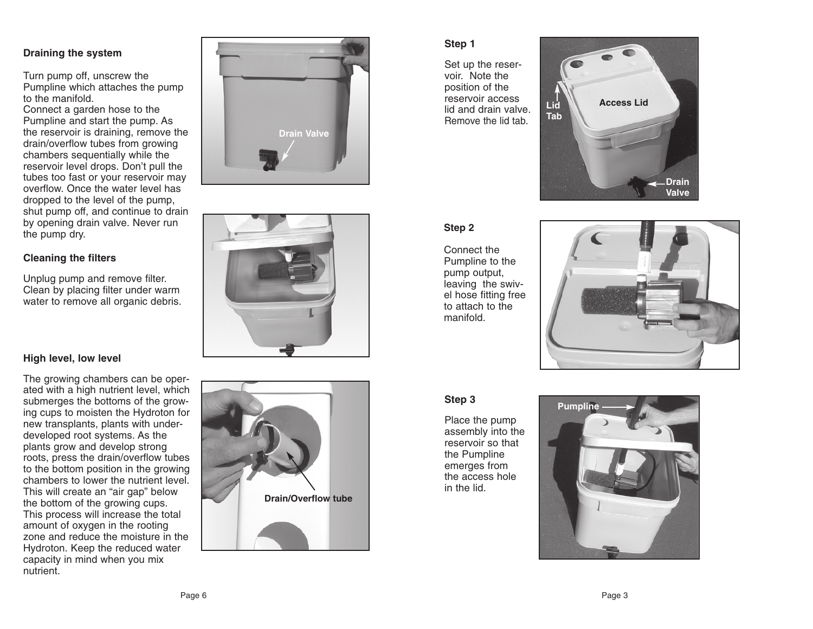#### **Draining the system**

Turn pump off, unscrew the Pumpline which attaches the pump to the manifold.

Connect a garden hose to the Pumpline and start the pump. As the reservoir is draining, remove the drain/overflow tubes from growing chambers sequentially while the reservoir level drops. Don't pull the tubes too fast or your reservoir ma y overflow. Once the water level has dropped to the level of the pump, shut pump off, and continue to drain by opening drain valve. Never run the pump dry .

#### **Cleaning the filters**

Unplug pump and remove filter . Clean by placing filter under warm water to remove all organic debris.





#### **High level, low level**

The growing chambers can be oper ated with a high nutrient level, which submerges the bottoms of the grow ing cups to moisten the Hydroton for new transplants, plants with underdeveloped root systems. As the plants grow and develop strong roots, press the drain/overflow tubes to the bottom position in the growing chambers to lower the nutrient level. This will create an "air gap" below the bottom of the growing cups. This process will increase the total amount of oxygen in the rooting zone and reduce the moisture in the Hydroton. Keep the reduced water capacity in mind when you mix nutrient .



#### **Step 1**

Set up the reser voir. Note the position of the reservoir access lid and drain valve. Remove the lid tab.



#### **Step 2**

Connect the Pumpline to th e pump output, leaving the swiv el hose fitting free to attach to the manifold.



#### **Step 3**

Place the pump assembly into the reservoir so that the Pumpline emerges from the access hole in the lid.